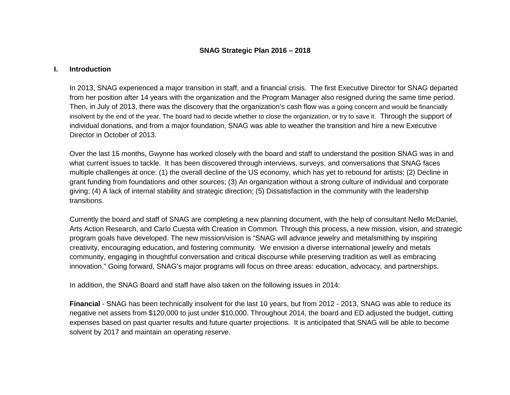## **SNAG Strategic Plan 2016 – 2018**

#### **I. Introduction**

In 2013, SNAG experienced a major transition in staff, and a financial crisis. The first Executive Director for SNAG departed from her position after 14 years with the organization and the Program Manager also resigned during the same time period. Then, in July of 2013, there was the discovery that the organization's cash flow was a going concern and would be financially insolvent by the end of the year. The board had to decide whether to close the organization, or try to save it. Through the support of individual donations, and from a major foundation, SNAG was able to weather the transition and hire a new Executive Director in October of 2013.

Over the last 15 months, Gwynne has worked closely with the board and staff to understand the position SNAG was in and what current issues to tackle. It has been discovered through interviews, surveys, and conversations that SNAG faces multiple challenges at once: (1) the overall decline of the US economy, which has yet to rebound for artists; (2) Decline in grant funding from foundations and other sources; (3) An organization without a strong culture of individual and corporate giving; (4) A lack of internal stability and strategic direction; (5) Dissatisfaction in the community with the leadership transitions.

Currently the board and staff of SNAG are completing a new planning document, with the help of consultant Nello McDaniel, Arts Action Research, and Carlo Cuesta with Creation in Common. Through this process, a new mission, vision, and strategic program goals have developed. The new mission/vision is "SNAG will advance jewelry and metalsmithing by inspiring creativity, encouraging education, and fostering community*.* We envision a diverse international jewelry and metals community, engaging in thoughtful conversation and critical discourse while preserving tradition as well as embracing innovation." Going forward, SNAG's major programs will focus on three areas: education, advocacy, and partnerships.

In addition, the SNAG Board and staff have also taken on the following issues in 2014:

**Financial** - SNAG has been technically insolvent for the last 10 years, but from 2012 - 2013, SNAG was able to reduce its negative net assets from \$120,000 to just under \$10,000. Throughout 2014, the board and ED adjusted the budget, cutting expenses based on past quarter results and future quarter projections. It is anticipated that SNAG will be able to become solvent by 2017 and maintain an operating reserve.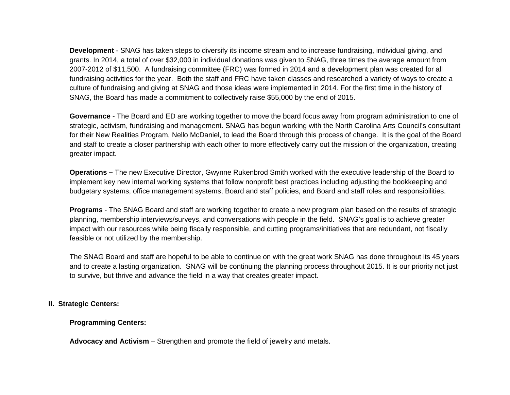**Development** - SNAG has taken steps to diversify its income stream and to increase fundraising, individual giving, and grants. In 2014, a total of over \$32,000 in individual donations was given to SNAG, three times the average amount from 2007-2012 of \$11,500. A fundraising committee (FRC) was formed in 2014 and a development plan was created for all fundraising activities for the year. Both the staff and FRC have taken classes and researched a variety of ways to create a culture of fundraising and giving at SNAG and those ideas were implemented in 2014. For the first time in the history of SNAG, the Board has made a commitment to collectively raise \$55,000 by the end of 2015.

**Governance** - The Board and ED are working together to move the board focus away from program administration to one of strategic, activism, fundraising and management. SNAG has begun working with the North Carolina Arts Council's consultant for their New Realities Program, Nello McDaniel, to lead the Board through this process of change. It is the goal of the Board and staff to create a closer partnership with each other to more effectively carry out the mission of the organization, creating greater impact.

**Operations –** The new Executive Director, Gwynne Rukenbrod Smith worked with the executive leadership of the Board to implement key new internal working systems that follow nonprofit best practices including adjusting the bookkeeping and budgetary systems, office management systems, Board and staff policies, and Board and staff roles and responsibilities.

**Programs** - The SNAG Board and staff are working together to create a new program plan based on the results of strategic planning, membership interviews/surveys, and conversations with people in the field. SNAG's goal is to achieve greater impact with our resources while being fiscally responsible, and cutting programs/initiatives that are redundant, not fiscally feasible or not utilized by the membership.

The SNAG Board and staff are hopeful to be able to continue on with the great work SNAG has done throughout its 45 years and to create a lasting organization. SNAG will be continuing the planning process throughout 2015. It is our priority not just to survive, but thrive and advance the field in a way that creates greater impact.

## **II. Strategic Centers:**

## **Programming Centers:**

**Advocacy and Activism** – Strengthen and promote the field of jewelry and metals.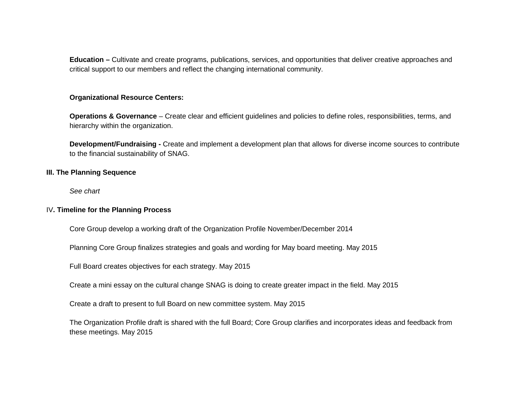**Education –** Cultivate and create programs, publications, services, and opportunities that deliver creative approaches and critical support to our members and reflect the changing international community.

## **Organizational Resource Centers:**

**Operations & Governance** – Create clear and efficient guidelines and policies to define roles, responsibilities, terms, and hierarchy within the organization.

**Development/Fundraising -** Create and implement a development plan that allows for diverse income sources to contribute to the financial sustainability of SNAG.

#### **III. The Planning Sequence**

*See chart*

## IV**. Timeline for the Planning Process**

Core Group develop a working draft of the Organization Profile November/December 2014

Planning Core Group finalizes strategies and goals and wording for May board meeting. May 2015

Full Board creates objectives for each strategy. May 2015

Create a mini essay on the cultural change SNAG is doing to create greater impact in the field. May 2015

Create a draft to present to full Board on new committee system. May 2015

The Organization Profile draft is shared with the full Board; Core Group clarifies and incorporates ideas and feedback from these meetings. May 2015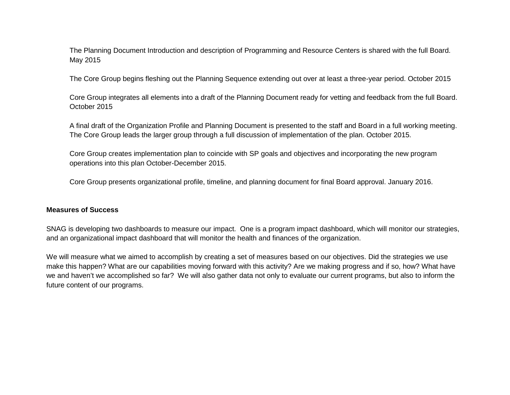The Planning Document Introduction and description of Programming and Resource Centers is shared with the full Board. May 2015

The Core Group begins fleshing out the Planning Sequence extending out over at least a three-year period. October 2015

Core Group integrates all elements into a draft of the Planning Document ready for vetting and feedback from the full Board. October 2015

A final draft of the Organization Profile and Planning Document is presented to the staff and Board in a full working meeting. The Core Group leads the larger group through a full discussion of implementation of the plan. October 2015.

Core Group creates implementation plan to coincide with SP goals and objectives and incorporating the new program operations into this plan October-December 2015.

Core Group presents organizational profile, timeline, and planning document for final Board approval. January 2016.

#### **Measures of Success**

SNAG is developing two dashboards to measure our impact. One is a program impact dashboard, which will monitor our strategies, and an organizational impact dashboard that will monitor the health and finances of the organization.

We will measure what we aimed to accomplish by creating a set of measures based on our objectives. Did the strategies we use make this happen? What are our capabilities moving forward with this activity? Are we making progress and if so, how? What have we and haven't we accomplished so far? We will also gather data not only to evaluate our current programs, but also to inform the future content of our programs.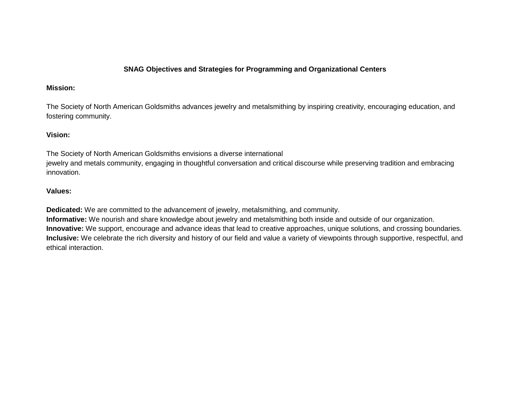# **SNAG Objectives and Strategies for Programming and Organizational Centers**

## **Mission:**

The Society of North American Goldsmiths advances jewelry and metalsmithing by inspiring creativity, encouraging education, and fostering community.

# **Vision:**

The Society of North American Goldsmiths envisions a diverse international jewelry and metals community, engaging in thoughtful conversation and critical discourse while preserving tradition and embracing innovation.

# **Values:**

**Dedicated:** We are committed to the advancement of jewelry, metalsmithing, and community.

**Informative:** We nourish and share knowledge about jewelry and metalsmithing both inside and outside of our organization. **Innovative:** We support, encourage and advance ideas that lead to creative approaches, unique solutions, and crossing boundaries. **Inclusive:** We celebrate the rich diversity and history of our field and value a variety of viewpoints through supportive, respectful, and ethical interaction.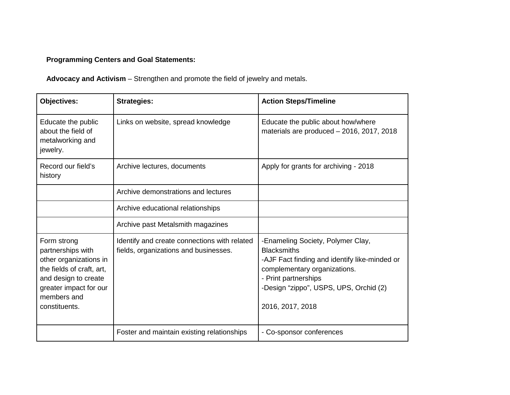# **Programming Centers and Goal Statements:**

**Advocacy and Activism** – Strengthen and promote the field of jewelry and metals.

| <b>Objectives:</b>                                                                                                                                                        | <b>Strategies:</b>                                                                    | <b>Action Steps/Timeline</b>                                                                                                                                                                                                   |
|---------------------------------------------------------------------------------------------------------------------------------------------------------------------------|---------------------------------------------------------------------------------------|--------------------------------------------------------------------------------------------------------------------------------------------------------------------------------------------------------------------------------|
| Educate the public<br>about the field of<br>metalworking and<br>jewelry.                                                                                                  | Links on website, spread knowledge                                                    | Educate the public about how/where<br>materials are produced - 2016, 2017, 2018                                                                                                                                                |
| Record our field's<br>history                                                                                                                                             | Archive lectures, documents                                                           | Apply for grants for archiving - 2018                                                                                                                                                                                          |
|                                                                                                                                                                           | Archive demonstrations and lectures                                                   |                                                                                                                                                                                                                                |
|                                                                                                                                                                           | Archive educational relationships                                                     |                                                                                                                                                                                                                                |
|                                                                                                                                                                           | Archive past Metalsmith magazines                                                     |                                                                                                                                                                                                                                |
| Form strong<br>partnerships with<br>other organizations in<br>the fields of craft, art,<br>and design to create<br>greater impact for our<br>members and<br>constituents. | Identify and create connections with related<br>fields, organizations and businesses. | -Enameling Society, Polymer Clay,<br><b>Blacksmiths</b><br>-AJF Fact finding and identify like-minded or<br>complementary organizations.<br>- Print partnerships<br>-Design "zippo", USPS, UPS, Orchid (2)<br>2016, 2017, 2018 |
|                                                                                                                                                                           | Foster and maintain existing relationships                                            | - Co-sponsor conferences                                                                                                                                                                                                       |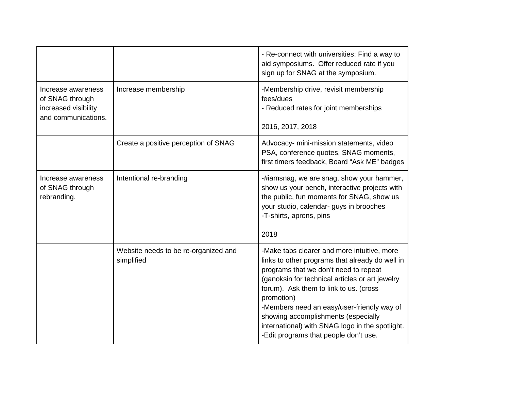|                                                                                      |                                                    | - Re-connect with universities: Find a way to<br>aid symposiums. Offer reduced rate if you<br>sign up for SNAG at the symposium.                                                                                                                                                                                                                                                                                                    |
|--------------------------------------------------------------------------------------|----------------------------------------------------|-------------------------------------------------------------------------------------------------------------------------------------------------------------------------------------------------------------------------------------------------------------------------------------------------------------------------------------------------------------------------------------------------------------------------------------|
| Increase awareness<br>of SNAG through<br>increased visibility<br>and communications. | Increase membership                                | -Membership drive, revisit membership<br>fees/dues<br>- Reduced rates for joint memberships<br>2016, 2017, 2018                                                                                                                                                                                                                                                                                                                     |
|                                                                                      | Create a positive perception of SNAG               | Advocacy- mini-mission statements, video<br>PSA, conference quotes, SNAG moments,<br>first timers feedback, Board "Ask ME" badges                                                                                                                                                                                                                                                                                                   |
| Increase awareness<br>of SNAG through<br>rebranding.                                 | Intentional re-branding                            | -#iamsnag, we are snag, show your hammer,<br>show us your bench, interactive projects with<br>the public, fun moments for SNAG, show us<br>your studio, calendar- guys in brooches<br>-T-shirts, aprons, pins<br>2018                                                                                                                                                                                                               |
|                                                                                      | Website needs to be re-organized and<br>simplified | -Make tabs clearer and more intuitive, more<br>links to other programs that already do well in<br>programs that we don't need to repeat<br>(ganoksin for technical articles or art jewelry<br>forum). Ask them to link to us. (cross<br>promotion)<br>-Members need an easy/user-friendly way of<br>showing accomplishments (especially<br>international) with SNAG logo in the spotlight.<br>-Edit programs that people don't use. |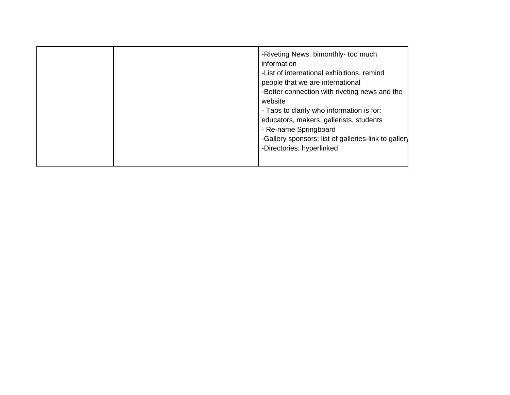|  |  | -Riveting News: bimonthly- too much<br>information<br>-List of international exhibitions, remind<br>people that we are international<br>-Better connection with riveting news and the<br>website<br>- Tabs to clarify who information is for:<br>educators, makers, gallerists, students<br>- Re-name Springboard<br>-Gallery sponsors: list of galleries-link to gallery<br>-Directories: hyperlinked |
|--|--|--------------------------------------------------------------------------------------------------------------------------------------------------------------------------------------------------------------------------------------------------------------------------------------------------------------------------------------------------------------------------------------------------------|
|--|--|--------------------------------------------------------------------------------------------------------------------------------------------------------------------------------------------------------------------------------------------------------------------------------------------------------------------------------------------------------------------------------------------------------|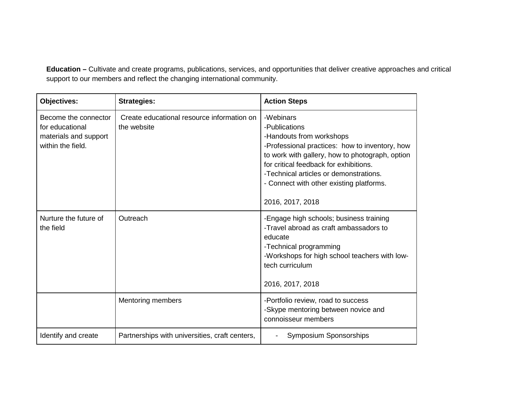**Education –** Cultivate and create programs, publications, services, and opportunities that deliver creative approaches and critical support to our members and reflect the changing international community.

| <b>Objectives:</b>                                                                    | <b>Strategies:</b>                                        | <b>Action Steps</b>                                                                                                                                                                                                                                                                                             |  |
|---------------------------------------------------------------------------------------|-----------------------------------------------------------|-----------------------------------------------------------------------------------------------------------------------------------------------------------------------------------------------------------------------------------------------------------------------------------------------------------------|--|
| Become the connector<br>for educational<br>materials and support<br>within the field. | Create educational resource information on<br>the website | -Webinars<br>-Publications<br>-Handouts from workshops<br>-Professional practices: how to inventory, how<br>to work with gallery, how to photograph, option<br>for critical feedback for exhibitions.<br>-Technical articles or demonstrations.<br>- Connect with other existing platforms.<br>2016, 2017, 2018 |  |
| Nurture the future of<br>the field                                                    | Outreach                                                  | -Engage high schools; business training<br>-Travel abroad as craft ambassadors to<br>educate<br>-Technical programming<br>-Workshops for high school teachers with low-<br>tech curriculum<br>2016, 2017, 2018                                                                                                  |  |
|                                                                                       | Mentoring members                                         | -Portfolio review, road to success<br>-Skype mentoring between novice and<br>connoisseur members                                                                                                                                                                                                                |  |
| Identify and create                                                                   | Partnerships with universities, craft centers,            | <b>Symposium Sponsorships</b>                                                                                                                                                                                                                                                                                   |  |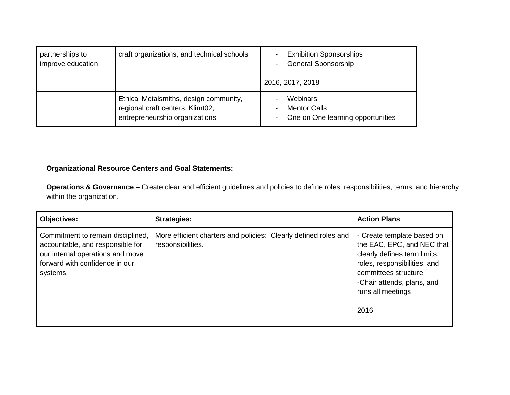| partnerships to<br>improve education | craft organizations, and technical schools                                                                   | <b>Exhibition Sponsorships</b><br><b>General Sponsorship</b><br>2016, 2017, 2018                 |  |
|--------------------------------------|--------------------------------------------------------------------------------------------------------------|--------------------------------------------------------------------------------------------------|--|
|                                      | Ethical Metalsmiths, design community,<br>regional craft centers, Klimt02,<br>entrepreneurship organizations | Webinars<br><b>Mentor Calls</b><br>$\overline{\phantom{0}}$<br>One on One learning opportunities |  |

# **Organizational Resource Centers and Goal Statements:**

**Operations & Governance** – Create clear and efficient guidelines and policies to define roles, responsibilities, terms, and hierarchy within the organization.

| <b>Objectives:</b>                                                                                                                                      | <b>Strategies:</b>                                                                   | <b>Action Plans</b>                                                                                                                                                                                         |
|---------------------------------------------------------------------------------------------------------------------------------------------------------|--------------------------------------------------------------------------------------|-------------------------------------------------------------------------------------------------------------------------------------------------------------------------------------------------------------|
| Commitment to remain disciplined,<br>accountable, and responsible for<br>our internal operations and move<br>forward with confidence in our<br>systems. | More efficient charters and policies: Clearly defined roles and<br>responsibilities. | - Create template based on<br>the EAC, EPC, and NEC that<br>clearly defines term limits,<br>roles, responsibilities, and<br>committees structure<br>-Chair attends, plans, and<br>runs all meetings<br>2016 |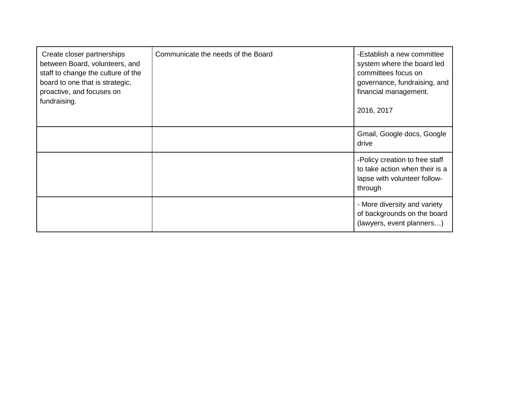| Create closer partnerships<br>between Board, volunteers, and<br>staff to change the culture of the<br>board to one that is strategic,<br>proactive, and focuses on<br>fundraising. | Communicate the needs of the Board | -Establish a new committee<br>system where the board led<br>committees focus on<br>governance, fundraising, and<br>financial management.<br>2016, 2017 |
|------------------------------------------------------------------------------------------------------------------------------------------------------------------------------------|------------------------------------|--------------------------------------------------------------------------------------------------------------------------------------------------------|
|                                                                                                                                                                                    |                                    | Gmail, Google docs, Google<br>drive                                                                                                                    |
|                                                                                                                                                                                    |                                    | -Policy creation to free staff<br>to take action when their is a<br>lapse with volunteer follow-<br>through                                            |
|                                                                                                                                                                                    |                                    | - More diversity and variety<br>of backgrounds on the board<br>(lawyers, event planners)                                                               |